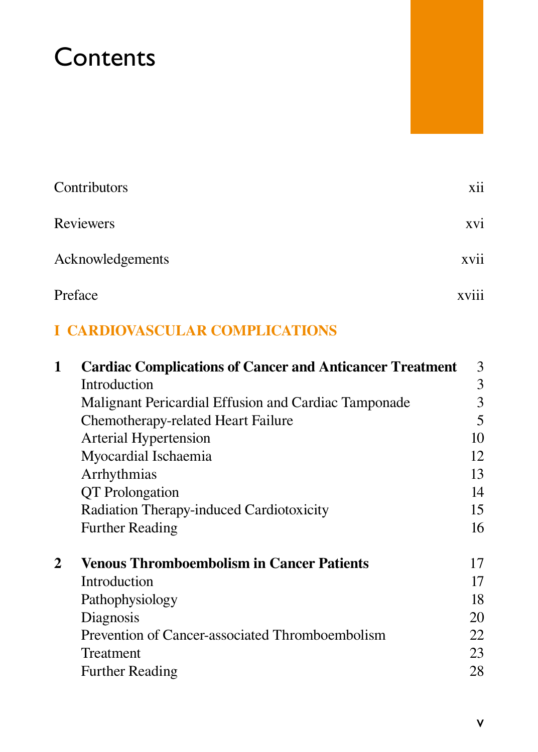# **Contents**

| Contributors     | xii   |
|------------------|-------|
| Reviewers        | xvi   |
| Acknowledgements | xvii  |
| Preface          | xviii |

## **I CARDIOVASCULAR COMPLICATIONS**

| 1 | <b>Cardiac Complications of Cancer and Anticancer Treatment</b> | 3  |
|---|-----------------------------------------------------------------|----|
|   | Introduction                                                    | 3  |
|   | Malignant Pericardial Effusion and Cardiac Tamponade            | 3  |
|   | Chemotherapy-related Heart Failure                              | 5  |
|   | Arterial Hypertension                                           | 10 |
|   | Myocardial Ischaemia                                            | 12 |
|   | Arrhythmias                                                     | 13 |
|   | QT Prolongation                                                 | 14 |
|   | Radiation Therapy-induced Cardiotoxicity                        | 15 |
|   | <b>Further Reading</b>                                          | 16 |
| 2 | <b>Venous Thromboembolism in Cancer Patients</b>                | 17 |
|   | Introduction                                                    | 17 |
|   | Pathophysiology                                                 | 18 |
|   | Diagnosis                                                       | 20 |
|   | Prevention of Cancer-associated Thromboembolism                 | 22 |
|   | Treatment                                                       | 23 |
|   | <b>Further Reading</b>                                          | 28 |
|   |                                                                 |    |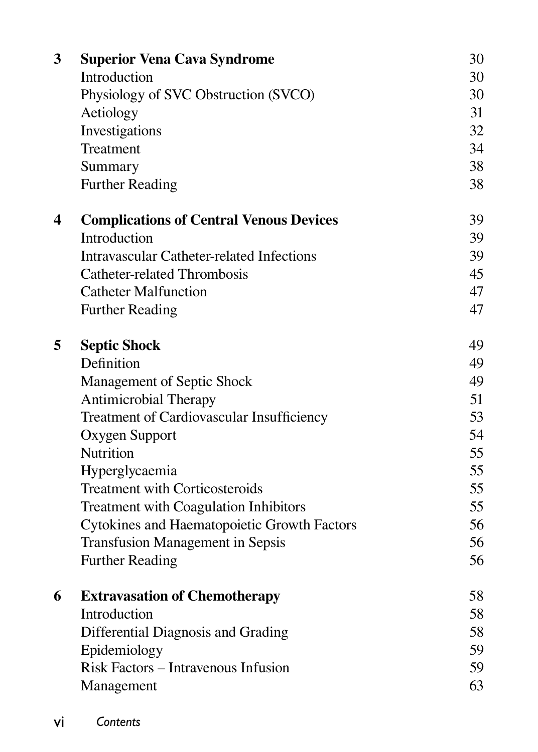| 3                       | <b>Superior Vena Cava Syndrome</b>               | 30       |
|-------------------------|--------------------------------------------------|----------|
|                         | Introduction                                     | 30       |
|                         | Physiology of SVC Obstruction (SVCO)             | 30<br>31 |
|                         | Aetiology                                        | 32       |
|                         | Investigations                                   |          |
|                         | Treatment                                        | 34       |
|                         | Summary                                          | 38       |
|                         | <b>Further Reading</b>                           | 38       |
| $\overline{\mathbf{4}}$ | <b>Complications of Central Venous Devices</b>   | 39       |
|                         | Introduction                                     | 39       |
|                         | <b>Intravascular Catheter-related Infections</b> | 39       |
|                         | Catheter-related Thrombosis                      | 45       |
|                         | <b>Catheter Malfunction</b>                      | 47       |
|                         | <b>Further Reading</b>                           | 47       |
| 5                       | <b>Septic Shock</b>                              | 49       |
|                         | Definition                                       | 49       |
|                         | Management of Septic Shock                       | 49       |
|                         | Antimicrobial Therapy                            | 51       |
|                         | Treatment of Cardiovascular Insufficiency        | 53       |
|                         | Oxygen Support                                   | 54       |
|                         | Nutrition                                        | 55       |
|                         | Hyperglycaemia                                   | 55       |
|                         | <b>Treatment with Corticosteroids</b>            | 55       |
|                         | Treatment with Coagulation Inhibitors            | 55       |
|                         | Cytokines and Haematopoietic Growth Factors      | 56       |
|                         | <b>Transfusion Management in Sepsis</b>          | 56       |
|                         | <b>Further Reading</b>                           | 56       |
| 6                       | <b>Extravasation of Chemotherapy</b>             | 58       |
|                         | Introduction                                     | 58       |
|                         | Differential Diagnosis and Grading               | 58       |
|                         | Epidemiology                                     | 59       |
|                         | Risk Factors - Intravenous Infusion              | 59       |
|                         | Management                                       | 63       |
|                         |                                                  |          |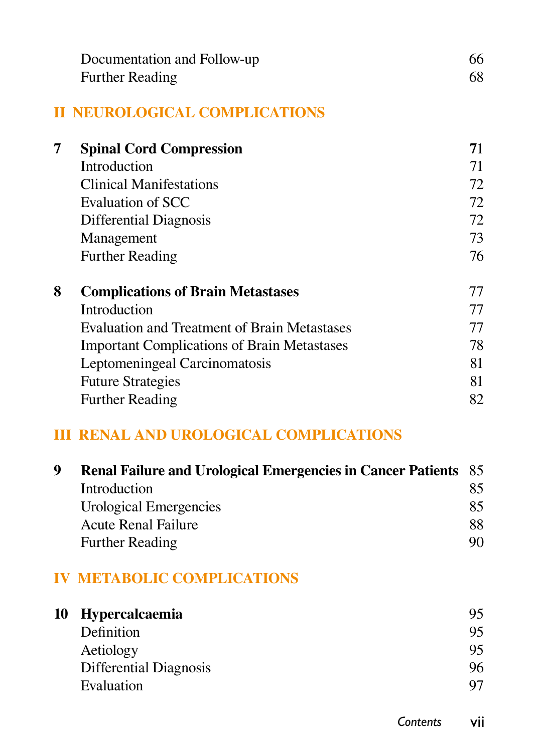| Documentation and Follow-up | 66 |
|-----------------------------|----|
| <b>Further Reading</b>      | 68 |

#### **II NEUROLOGICAL COMPLICATIONS**

| 7 | <b>Spinal Cord Compression</b>                     | 71 |
|---|----------------------------------------------------|----|
|   | Introduction                                       | 71 |
|   | <b>Clinical Manifestations</b>                     | 72 |
|   | Evaluation of SCC                                  | 72 |
|   | Differential Diagnosis                             | 72 |
|   | Management                                         | 73 |
|   | <b>Further Reading</b>                             | 76 |
| 8 | <b>Complications of Brain Metastases</b>           | 77 |
|   | Introduction                                       | 77 |
|   | Evaluation and Treatment of Brain Metastases       | 77 |
|   | <b>Important Complications of Brain Metastases</b> | 78 |
|   | Leptomeningeal Carcinomatosis                      | 81 |
|   | <b>Future Strategies</b>                           | 81 |

### **III RENAL AND UROLOGICAL COMPLICATIONS**

| q | <b>Renal Failure and Urological Emergencies in Cancer Patients</b> 85 |    |
|---|-----------------------------------------------------------------------|----|
|   | Introduction                                                          | 85 |
|   | Urological Emergencies                                                | 85 |
|   | <b>Acute Renal Failure</b>                                            | 88 |
|   | <b>Further Reading</b>                                                | 90 |

Further Reading 82

## **IV METABOLIC COMPLICATIONS**

| 95 |
|----|
| 95 |
| 96 |
| 97 |
|    |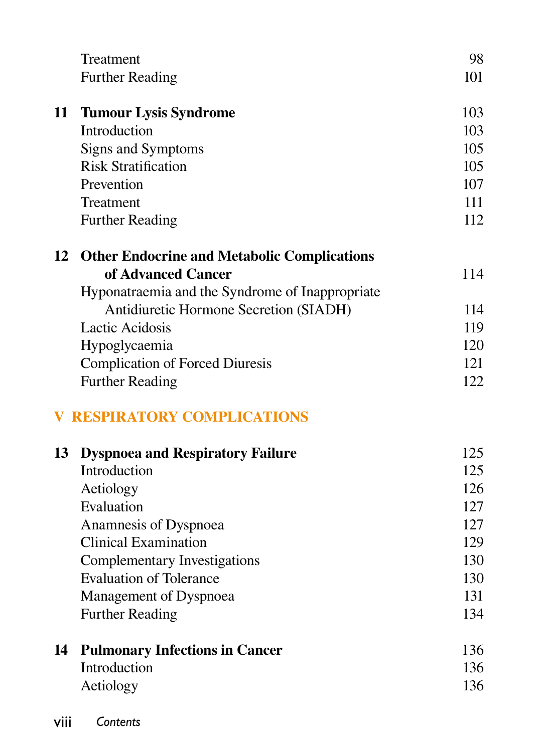|    | Treatment                                          | 98  |
|----|----------------------------------------------------|-----|
|    | <b>Further Reading</b>                             | 101 |
| 11 | <b>Tumour Lysis Syndrome</b>                       | 103 |
|    | Introduction                                       | 103 |
|    | Signs and Symptoms                                 | 105 |
|    | <b>Risk Stratification</b>                         | 105 |
|    | Prevention                                         | 107 |
|    | Treatment                                          | 111 |
|    | <b>Further Reading</b>                             | 112 |
| 12 | <b>Other Endocrine and Metabolic Complications</b> |     |
|    | of Advanced Cancer                                 | 114 |
|    | Hyponatraemia and the Syndrome of Inappropriate    |     |
|    | Antidiuretic Hormone Secretion (SIADH)             | 114 |
|    | Lactic Acidosis                                    | 119 |
|    | Hypoglycaemia                                      | 120 |
|    | <b>Complication of Forced Diuresis</b>             | 121 |
|    | <b>Further Reading</b>                             | 122 |
|    | <b>V RESPIRATORY COMPLICATIONS</b>                 |     |
| 13 | <b>Dyspnoea and Respiratory Failure</b>            | 125 |
|    | Introduction                                       | 125 |
|    | Aetiology                                          | 126 |
|    | Evaluation                                         | 127 |
|    | Anamnesis of Dyspnoea                              | 127 |
|    | <b>Clinical Examination</b>                        | 129 |
|    | Complementary Investigations                       | 130 |
|    | <b>Evaluation of Tolerance</b>                     | 130 |
|    | Management of Dyspnoea                             | 131 |
|    | <b>Further Reading</b>                             | 134 |
| 14 | <b>Pulmonary Infections in Cancer</b>              | 136 |
|    | Introduction                                       | 136 |
|    | Aetiology                                          | 136 |
|    |                                                    |     |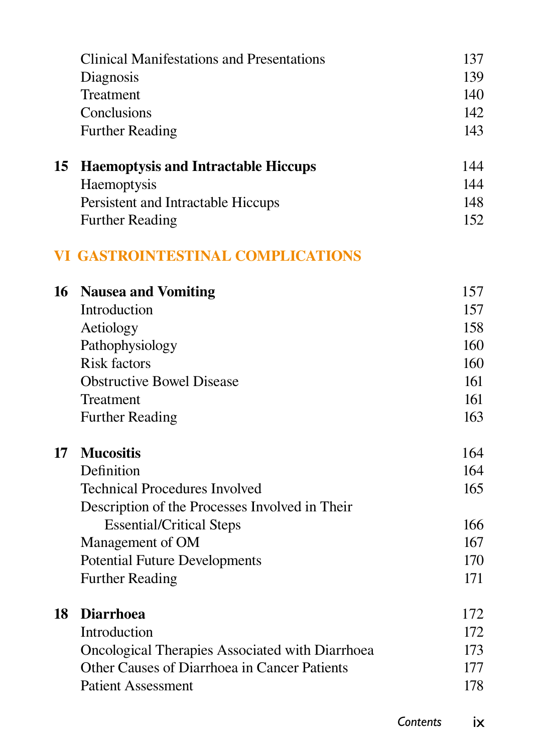|    | <b>Clinical Manifestations and Presentations</b><br>Diagnosis<br>Treatment<br>Conclusions<br><b>Further Reading</b> | 137<br>139<br>140<br>142<br>143 |
|----|---------------------------------------------------------------------------------------------------------------------|---------------------------------|
| 15 | <b>Haemoptysis and Intractable Hiccups</b>                                                                          | 144                             |
|    | Haemoptysis                                                                                                         | 144<br>148                      |
|    | Persistent and Intractable Hiccups<br><b>Further Reading</b>                                                        | 152                             |
|    | VI GASTROINTESTINAL COMPLICATIONS                                                                                   |                                 |
| 16 | <b>Nausea and Vomiting</b>                                                                                          | 157                             |
|    | Introduction                                                                                                        | 157                             |
|    | Aetiology                                                                                                           | 158                             |
|    | Pathophysiology                                                                                                     | 160                             |
|    | <b>Risk factors</b>                                                                                                 | 160                             |
|    | <b>Obstructive Bowel Disease</b>                                                                                    | 161                             |
|    | Treatment                                                                                                           | 161                             |
|    | <b>Further Reading</b>                                                                                              | 163                             |
| 17 | <b>Mucositis</b>                                                                                                    | 164                             |
|    | Definition                                                                                                          | 164                             |
|    | <b>Technical Procedures Involved</b>                                                                                | 165                             |
|    | Description of the Processes Involved in Their                                                                      |                                 |
|    | <b>Essential/Critical Steps</b>                                                                                     | 166                             |
|    | Management of OM                                                                                                    | 167                             |
|    | <b>Potential Future Developments</b>                                                                                | 170                             |
|    | <b>Further Reading</b>                                                                                              | 171                             |
| 18 | <b>Diarrhoea</b>                                                                                                    | 172                             |
|    | Introduction                                                                                                        | 172                             |
|    | Oncological Therapies Associated with Diarrhoea                                                                     | 173                             |
|    | Other Causes of Diarrhoea in Cancer Patients                                                                        | 177                             |
|    | <b>Patient Assessment</b>                                                                                           | 178                             |
|    |                                                                                                                     |                                 |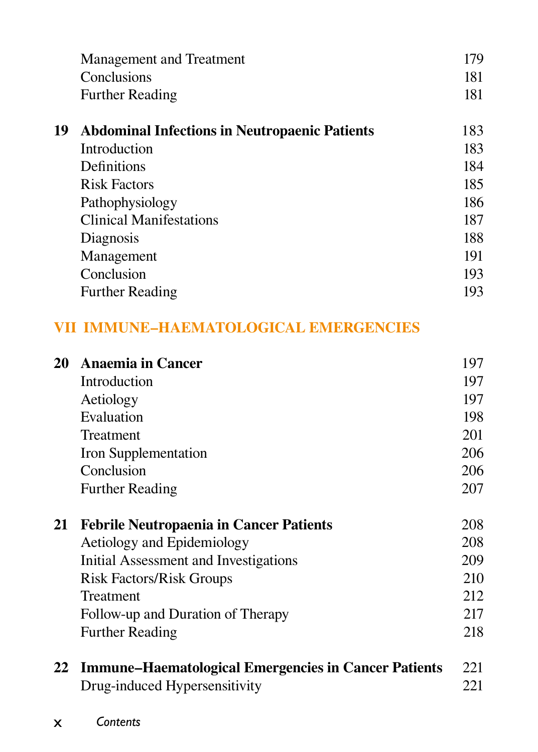|    | Management and Treatment                                    | 179 |
|----|-------------------------------------------------------------|-----|
|    | Conclusions                                                 | 181 |
|    | <b>Further Reading</b>                                      | 181 |
| 19 | <b>Abdominal Infections in Neutropaenic Patients</b>        | 183 |
|    | Introduction                                                | 183 |
|    | Definitions                                                 | 184 |
|    | <b>Risk Factors</b>                                         | 185 |
|    | Pathophysiology                                             | 186 |
|    | <b>Clinical Manifestations</b>                              | 187 |
|    | Diagnosis                                                   | 188 |
|    | Management                                                  | 191 |
|    | Conclusion                                                  | 193 |
|    | <b>Further Reading</b>                                      | 193 |
|    | <b>VII IMMUNE-HAEMATOLOGICAL EMERGENCIES</b>                |     |
| 20 | Anaemia in Cancer                                           | 197 |
|    | Introduction                                                | 197 |
|    | Aetiology                                                   | 197 |
|    | Evaluation                                                  | 198 |
|    | Treatment                                                   | 201 |
|    | Iron Supplementation                                        | 206 |
|    | Conclusion                                                  | 206 |
|    | <b>Further Reading</b>                                      | 207 |
| 21 | <b>Febrile Neutropaenia in Cancer Patients</b>              | 208 |
|    | Aetiology and Epidemiology                                  | 208 |
|    | Initial Assessment and Investigations                       | 209 |
|    | <b>Risk Factors/Risk Groups</b>                             | 210 |
|    | Treatment                                                   | 212 |
|    | Follow-up and Duration of Therapy                           | 217 |
|    | <b>Further Reading</b>                                      | 218 |
| 22 | <b>Immune-Haematological Emergencies in Cancer Patients</b> | 221 |
|    | Drug-induced Hypersensitivity                               | 221 |